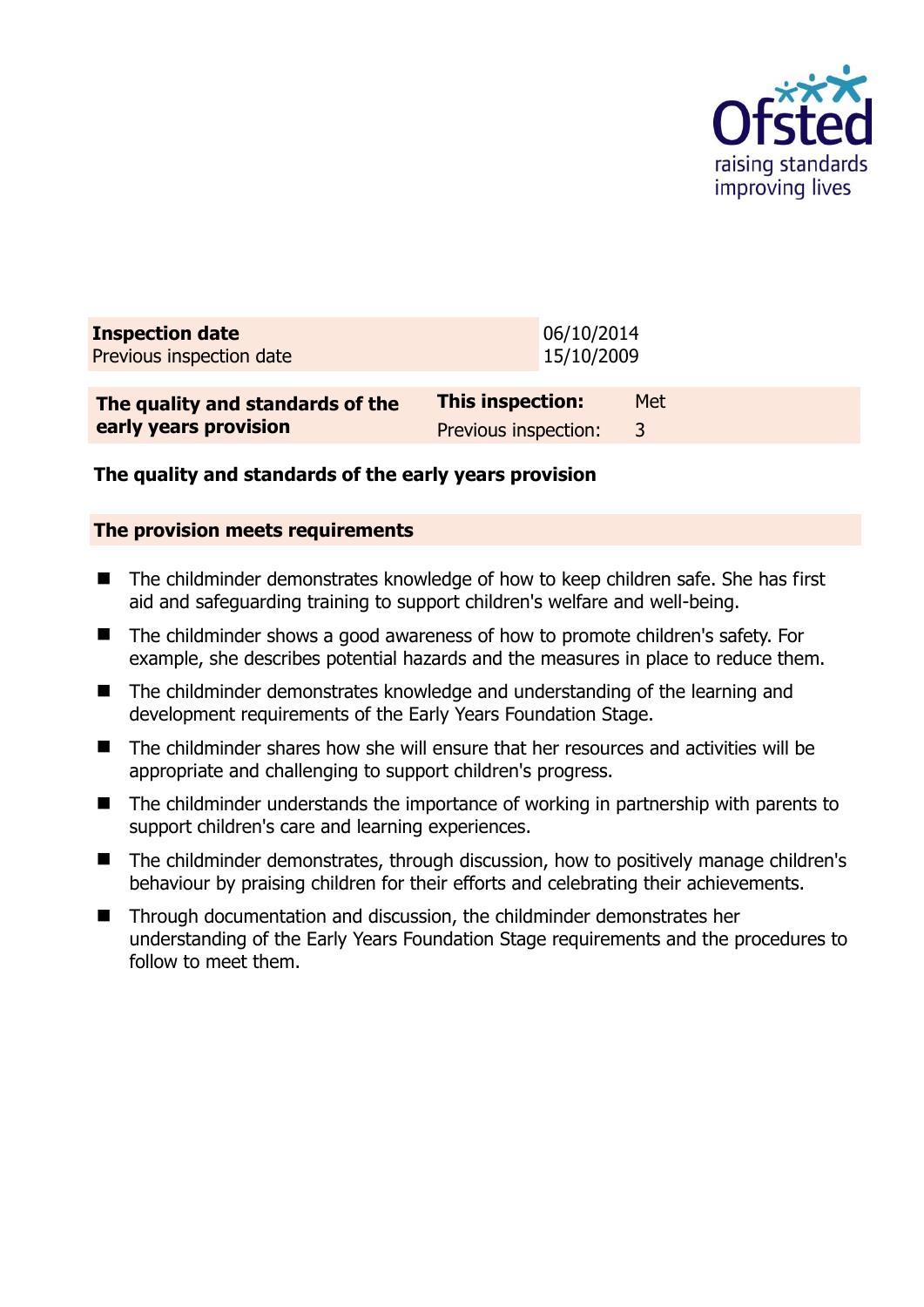

| <b>Inspection date</b><br>Previous inspection date |                      | 06/10/2014<br>15/10/2009 |     |
|----------------------------------------------------|----------------------|--------------------------|-----|
| The quality and standards of the                   | This inspection:     |                          | Met |
| early years provision                              | Previous inspection: |                          | 3   |

## **The quality and standards of the early years provision**

#### **The provision meets requirements**

- The childminder demonstrates knowledge of how to keep children safe. She has first aid and safeguarding training to support children's welfare and well-being.
- The childminder shows a good awareness of how to promote children's safety. For example, she describes potential hazards and the measures in place to reduce them.
- The childminder demonstrates knowledge and understanding of the learning and development requirements of the Early Years Foundation Stage.
- The childminder shares how she will ensure that her resources and activities will be appropriate and challenging to support children's progress.
- The childminder understands the importance of working in partnership with parents to support children's care and learning experiences.
- The childminder demonstrates, through discussion, how to positively manage children's behaviour by praising children for their efforts and celebrating their achievements.
- Through documentation and discussion, the childminder demonstrates her understanding of the Early Years Foundation Stage requirements and the procedures to follow to meet them.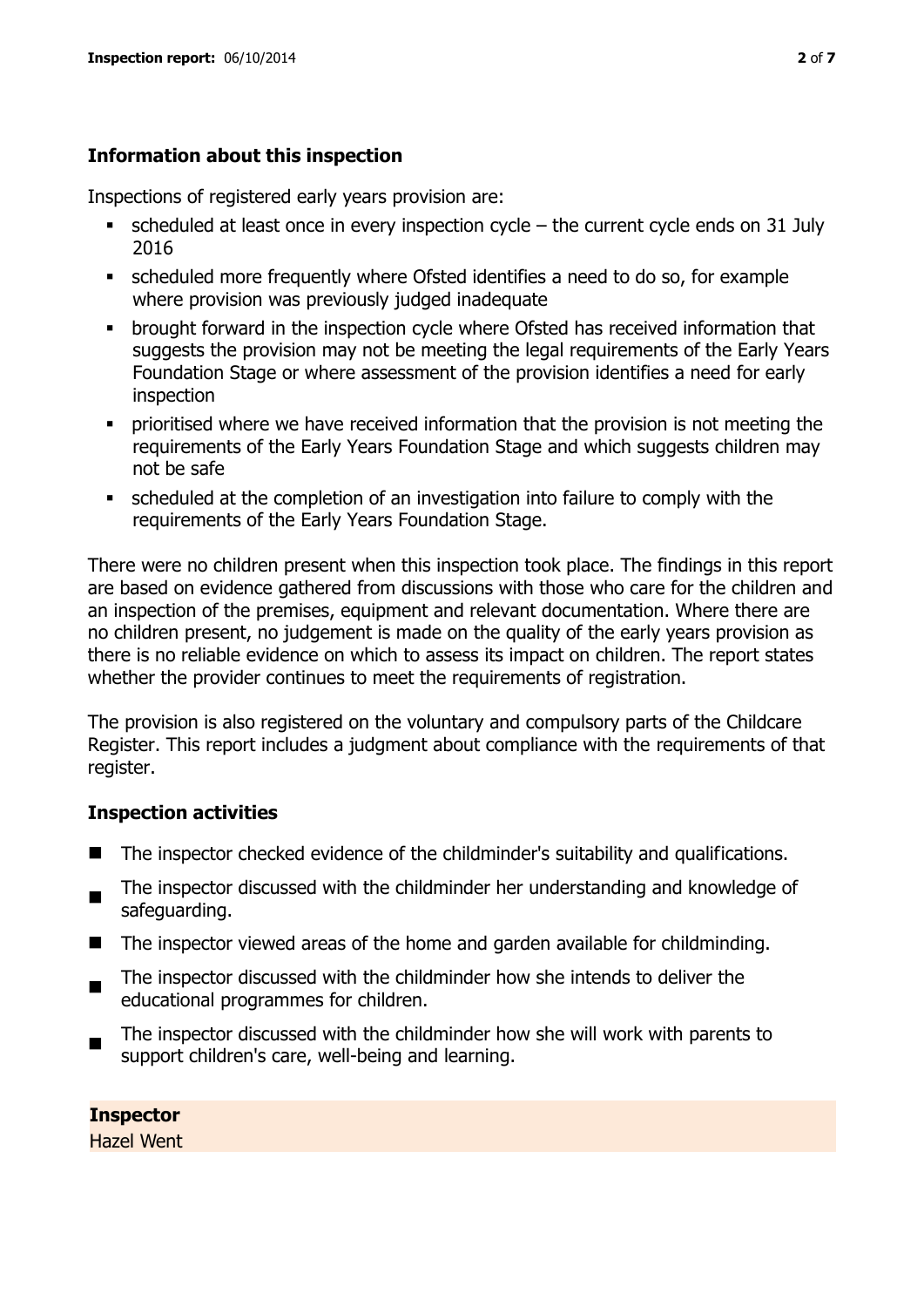## **Information about this inspection**

Inspections of registered early years provision are:

- scheduled at least once in every inspection cycle the current cycle ends on 31 July 2016
- scheduled more frequently where Ofsted identifies a need to do so, for example where provision was previously judged inadequate
- **•** brought forward in the inspection cycle where Ofsted has received information that suggests the provision may not be meeting the legal requirements of the Early Years Foundation Stage or where assessment of the provision identifies a need for early inspection
- **•** prioritised where we have received information that the provision is not meeting the requirements of the Early Years Foundation Stage and which suggests children may not be safe
- scheduled at the completion of an investigation into failure to comply with the requirements of the Early Years Foundation Stage.

There were no children present when this inspection took place. The findings in this report are based on evidence gathered from discussions with those who care for the children and an inspection of the premises, equipment and relevant documentation. Where there are no children present, no judgement is made on the quality of the early years provision as there is no reliable evidence on which to assess its impact on children. The report states whether the provider continues to meet the requirements of registration.

The provision is also registered on the voluntary and compulsory parts of the Childcare Register. This report includes a judgment about compliance with the requirements of that register.

## **Inspection activities**

- The inspector checked evidence of the childminder's suitability and qualifications.
- The inspector discussed with the childminder her understanding and knowledge of safeguarding.
- The inspector viewed areas of the home and garden available for childminding.
- $\blacksquare$ The inspector discussed with the childminder how she intends to deliver the educational programmes for children.
- $\blacksquare$ The inspector discussed with the childminder how she will work with parents to support children's care, well-being and learning.

**Inspector**  Hazel Went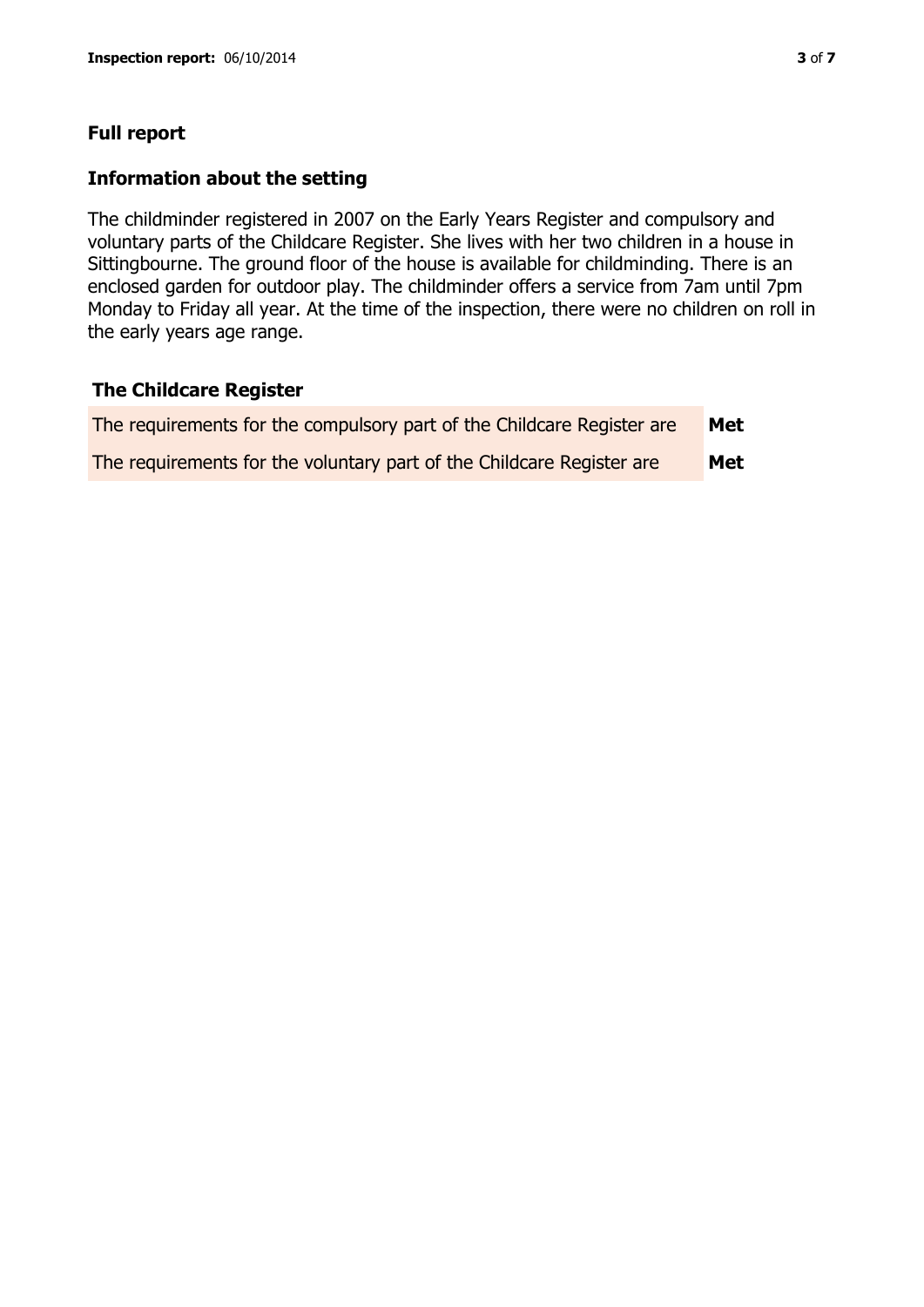## **Full report**

#### **Information about the setting**

The childminder registered in 2007 on the Early Years Register and compulsory and voluntary parts of the Childcare Register. She lives with her two children in a house in Sittingbourne. The ground floor of the house is available for childminding. There is an enclosed garden for outdoor play. The childminder offers a service from 7am until 7pm Monday to Friday all year. At the time of the inspection, there were no children on roll in the early years age range.

#### **The Childcare Register**

| The requirements for the compulsory part of the Childcare Register are | Met |
|------------------------------------------------------------------------|-----|
| The requirements for the voluntary part of the Childcare Register are  | Met |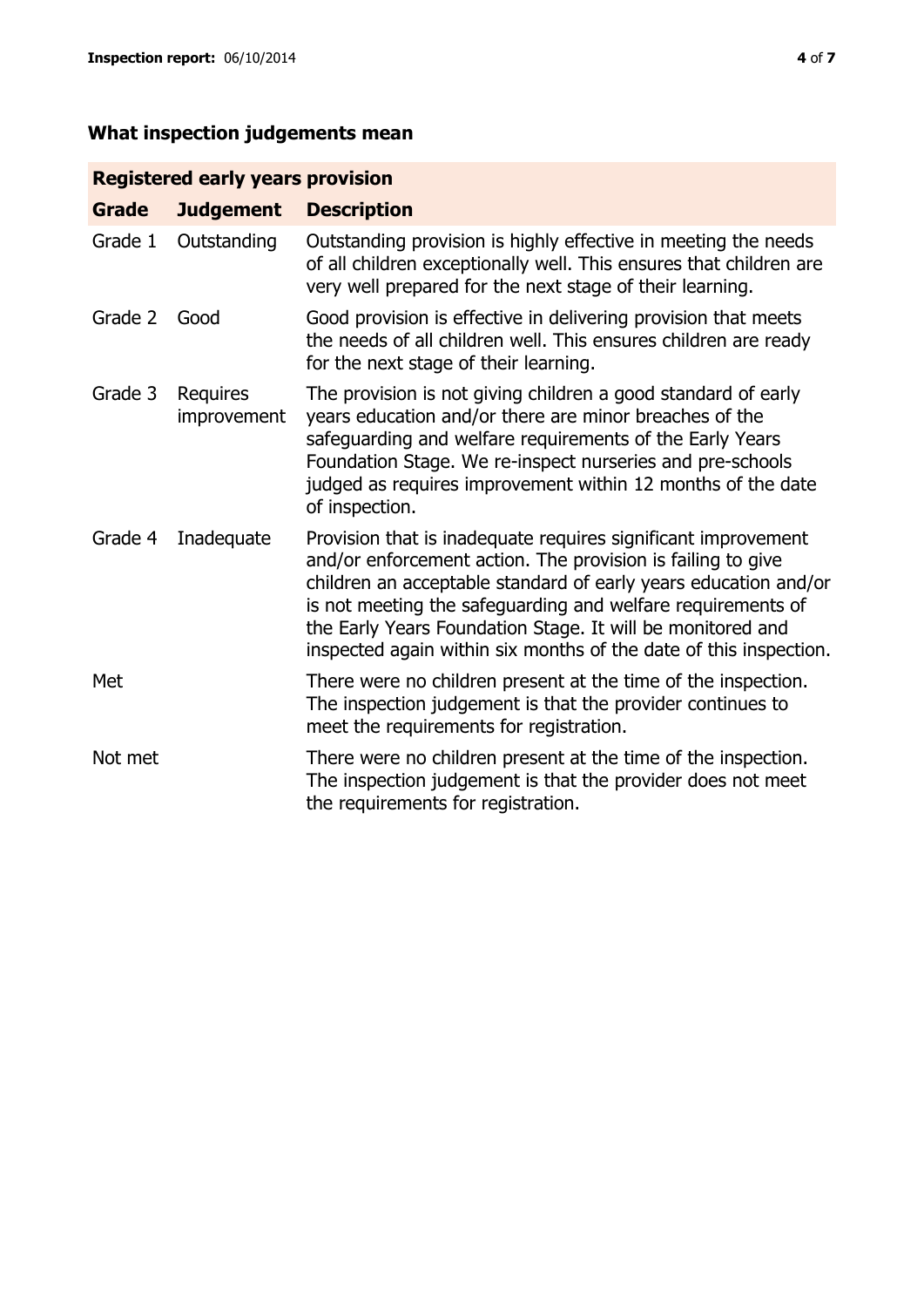# **What inspection judgements mean**

## **Registered early years provision**

| Grade   | <b>Judgement</b>        | <b>Description</b>                                                                                                                                                                                                                                                                                                                                                                                |
|---------|-------------------------|---------------------------------------------------------------------------------------------------------------------------------------------------------------------------------------------------------------------------------------------------------------------------------------------------------------------------------------------------------------------------------------------------|
| Grade 1 | Outstanding             | Outstanding provision is highly effective in meeting the needs<br>of all children exceptionally well. This ensures that children are<br>very well prepared for the next stage of their learning.                                                                                                                                                                                                  |
| Grade 2 | Good                    | Good provision is effective in delivering provision that meets<br>the needs of all children well. This ensures children are ready<br>for the next stage of their learning.                                                                                                                                                                                                                        |
| Grade 3 | Requires<br>improvement | The provision is not giving children a good standard of early<br>years education and/or there are minor breaches of the<br>safeguarding and welfare requirements of the Early Years<br>Foundation Stage. We re-inspect nurseries and pre-schools<br>judged as requires improvement within 12 months of the date<br>of inspection.                                                                 |
| Grade 4 | Inadequate              | Provision that is inadequate requires significant improvement<br>and/or enforcement action. The provision is failing to give<br>children an acceptable standard of early years education and/or<br>is not meeting the safeguarding and welfare requirements of<br>the Early Years Foundation Stage. It will be monitored and<br>inspected again within six months of the date of this inspection. |
| Met     |                         | There were no children present at the time of the inspection.<br>The inspection judgement is that the provider continues to<br>meet the requirements for registration.                                                                                                                                                                                                                            |
| Not met |                         | There were no children present at the time of the inspection.<br>The inspection judgement is that the provider does not meet<br>the requirements for registration.                                                                                                                                                                                                                                |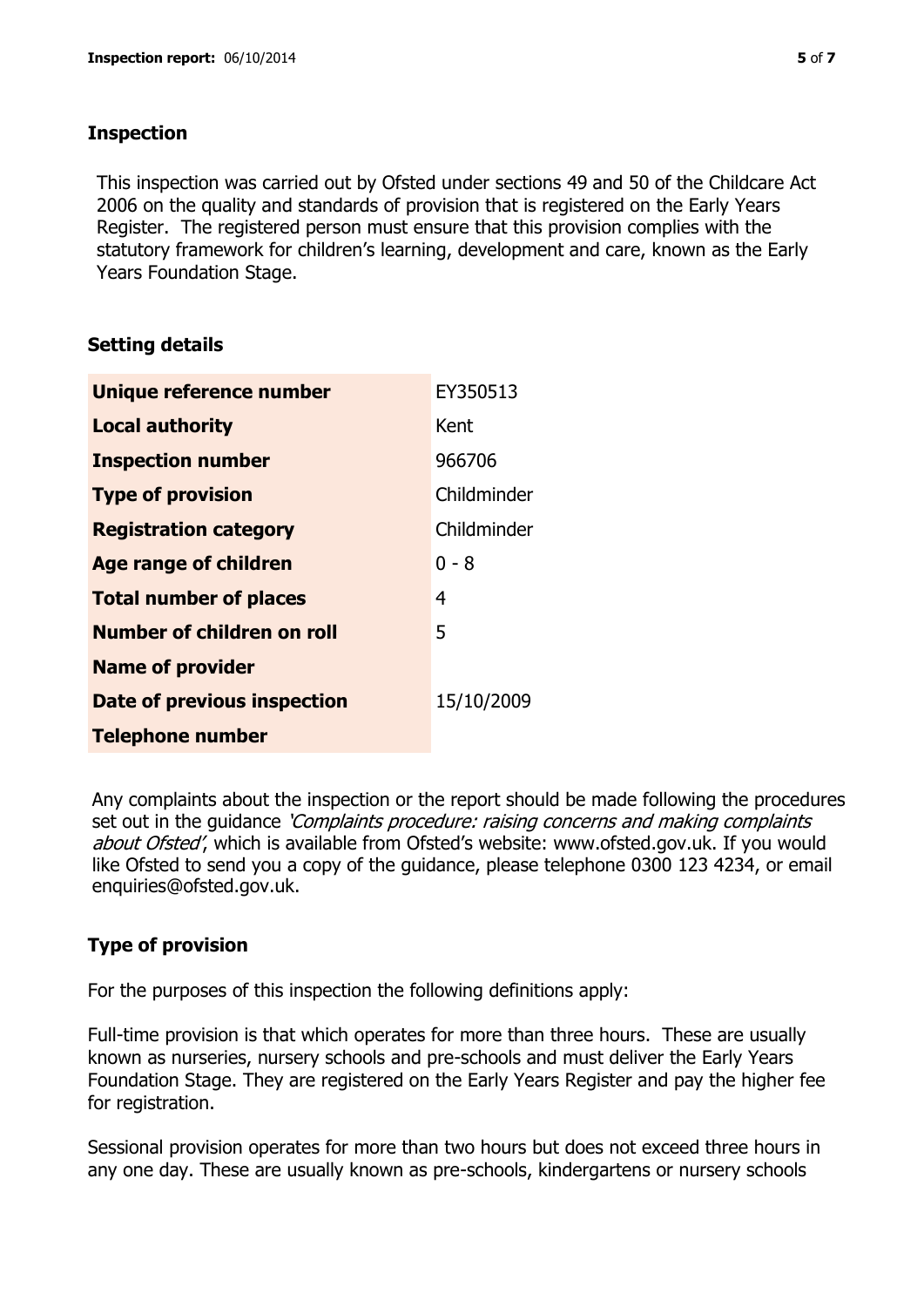## **Inspection**

This inspection was carried out by Ofsted under sections 49 and 50 of the Childcare Act 2006 on the quality and standards of provision that is registered on the Early Years Register. The registered person must ensure that this provision complies with the statutory framework for children's learning, development and care, known as the Early Years Foundation Stage.

## **Setting details**

| Unique reference number       | EY350513    |
|-------------------------------|-------------|
| <b>Local authority</b>        | Kent        |
| <b>Inspection number</b>      | 966706      |
| <b>Type of provision</b>      | Childminder |
| <b>Registration category</b>  | Childminder |
| <b>Age range of children</b>  | $0 - 8$     |
| <b>Total number of places</b> | 4           |
| Number of children on roll    | 5           |
| <b>Name of provider</b>       |             |
| Date of previous inspection   | 15/10/2009  |
| <b>Telephone number</b>       |             |

Any complaints about the inspection or the report should be made following the procedures set out in the guidance *'Complaints procedure: raising concerns and making complaints* about Ofsted', which is available from Ofsted's website: www.ofsted.gov.uk. If you would like Ofsted to send you a copy of the guidance, please telephone 0300 123 4234, or email enquiries@ofsted.gov.uk.

# **Type of provision**

For the purposes of this inspection the following definitions apply:

Full-time provision is that which operates for more than three hours. These are usually known as nurseries, nursery schools and pre-schools and must deliver the Early Years Foundation Stage. They are registered on the Early Years Register and pay the higher fee for registration.

Sessional provision operates for more than two hours but does not exceed three hours in any one day. These are usually known as pre-schools, kindergartens or nursery schools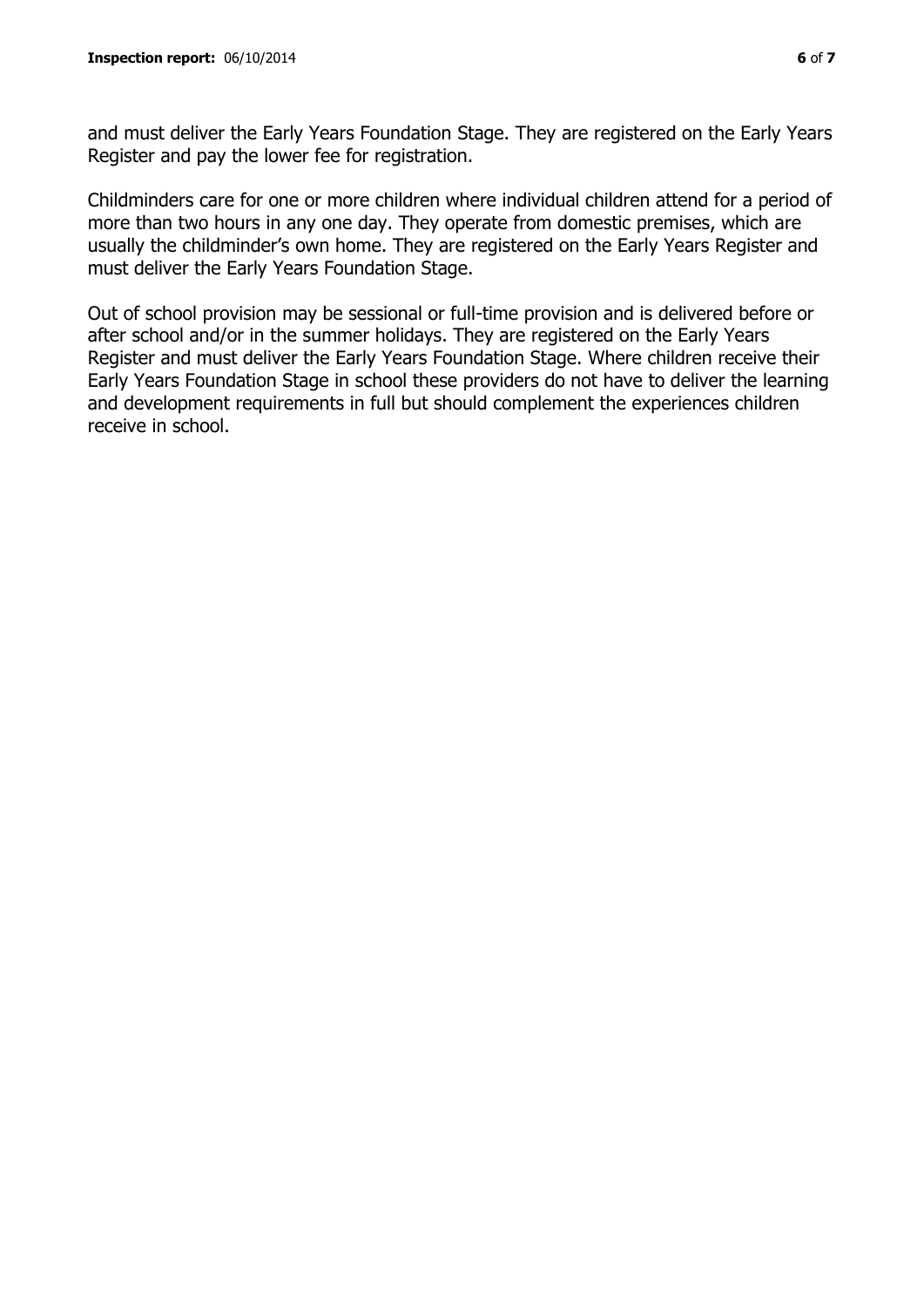and must deliver the Early Years Foundation Stage. They are registered on the Early Years Register and pay the lower fee for registration.

Childminders care for one or more children where individual children attend for a period of more than two hours in any one day. They operate from domestic premises, which are usually the childminder's own home. They are registered on the Early Years Register and must deliver the Early Years Foundation Stage.

Out of school provision may be sessional or full-time provision and is delivered before or after school and/or in the summer holidays. They are registered on the Early Years Register and must deliver the Early Years Foundation Stage. Where children receive their Early Years Foundation Stage in school these providers do not have to deliver the learning and development requirements in full but should complement the experiences children receive in school.